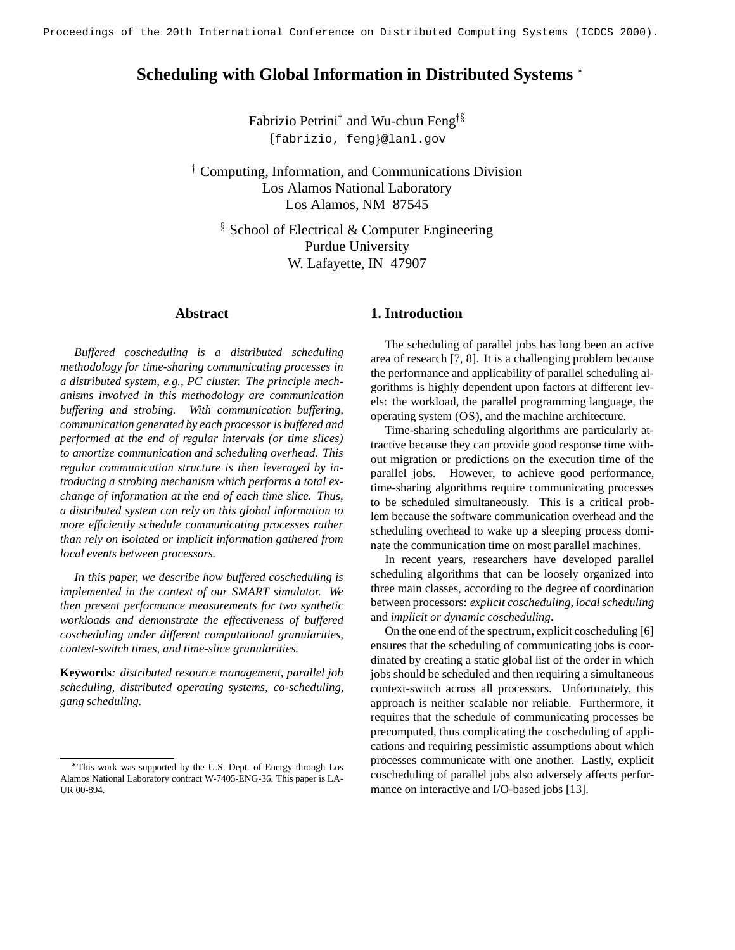# **Scheduling with Global Information in Distributed Systems**

Fabrizio Petrini<sup>†</sup> and Wu-chun Feng<sup>†</sup> fabrizio, feng @lanl.gov

 Computing, Information, and Communications Division Los Alamos National Laboratory Los Alamos, NM 87545

**School of Electrical & Computer Engineering** Purdue University W. Lafayette, IN 47907

## **Abstract**

*Buffered coscheduling is a distributed scheduling methodology for time-sharing communicating processes in a distributed system, e.g., PC cluster. The principle mechanisms involved in this methodology are communication buffering and strobing. With communication buffering, communication generated by each processor is buffered and performed at the end of regular intervals (or time slices) to amortize communication and scheduling overhead. This regular communication structure is then leveraged by introducing a strobing mechanism which performs a total exchange of information at the end of each time slice. Thus, a distributed system can rely on this global information to more efficiently schedule communicating processes rather than rely on isolated or implicit information gathered from local events between processors.*

*In this paper, we describe how buffered coscheduling is implemented in the context of our SMART simulator. We then present performance measurements for two synthetic workloads and demonstrate the effectiveness of buffered coscheduling under different computational granularities, context-switch times, and time-slice granularities.*

**Keywords***: distributed resource management, parallel job scheduling, distributed operating systems, co-scheduling, gang scheduling.*

# **1. Introduction**

The scheduling of parallel jobs has long been an active area of research [7, 8]. It is a challenging problem because the performance and applicability of parallel scheduling algorithms is highly dependent upon factors at different levels: the workload, the parallel programming language, the operating system (OS), and the machine architecture.

Time-sharing scheduling algorithms are particularly attractive because they can provide good response time without migration or predictions on the execution time of the parallel jobs. However, to achieve good performance, time-sharing algorithms require communicating processes to be scheduled simultaneously. This is a critical problem because the software communication overhead and the scheduling overhead to wake up a sleeping process dominate the communication time on most parallel machines.

In recent years, researchers have developed parallel scheduling algorithms that can be loosely organized into three main classes, according to the degree of coordination between processors: *explicit coscheduling*, *local scheduling* and *implicit or dynamic coscheduling*.

On the one end of the spectrum, explicit coscheduling [6] ensures that the scheduling of communicating jobs is coordinated by creating a static global list of the order in which jobs should be scheduled and then requiring a simultaneous context-switch across all processors. Unfortunately, this approach is neither scalable nor reliable. Furthermore, it requires that the schedule of communicating processes be precomputed, thus complicating the coscheduling of applications and requiring pessimistic assumptions about which processes communicate with one another. Lastly, explicit coscheduling of parallel jobs also adversely affects performance on interactive and I/O-based jobs [13].

This work was supported by the U.S. Dept. of Energy through Los Alamos National Laboratory contract W-7405-ENG-36. This paper is LA-UR 00-894.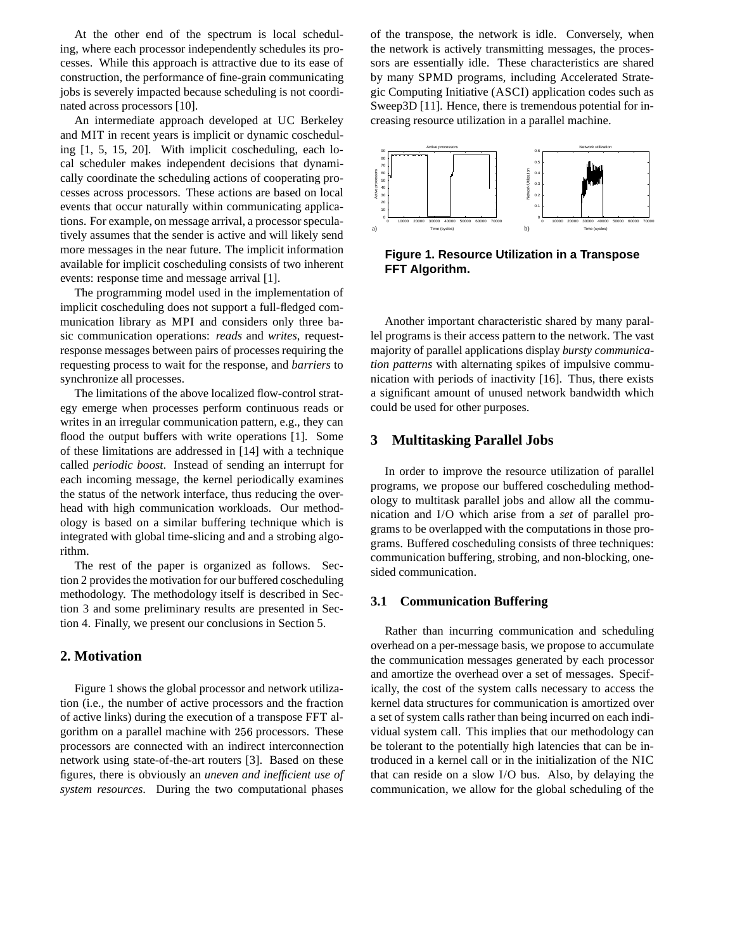At the other end of the spectrum is local scheduling, where each processor independently schedules its processes. While this approach is attractive due to its ease of construction, the performance of fine-grain communicating jobs is severely impacted because scheduling is not coordinated across processors [10].

An intermediate approach developed at UC Berkeley and MIT in recent years is implicit or dynamic coscheduling [1, 5, 15, 20]. With implicit coscheduling, each local scheduler makes independent decisions that dynamically coordinate the scheduling actions of cooperating processes across processors. These actions are based on local events that occur naturally within communicating applications. For example, on message arrival, a processorspeculatively assumes that the sender is active and will likely send more messages in the near future. The implicit information available for implicit coscheduling consists of two inherent events: response time and message arrival [1].

The programming model used in the implementation of implicit coscheduling does not support a full-fledged communication library as MPI and considers only three basic communication operations: *reads* and *writes*, requestresponse messages between pairs of processes requiring the requesting process to wait for the response, and *barriers* to synchronize all processes.

The limitations of the above localized flow-control strategy emerge when processes perform continuous reads or writes in an irregular communication pattern, e.g., they can flood the output buffers with write operations [1]. Some of these limitations are addressed in [14] with a technique called *periodic boost*. Instead of sending an interrupt for each incoming message, the kernel periodically examines the status of the network interface, thus reducing the overhead with high communication workloads. Our methodology is based on a similar buffering technique which is integrated with global time-slicing and and a strobing algorithm.

The rest of the paper is organized as follows. Section 2 provides the motivation for our buffered coscheduling methodology. The methodology itself is described in Section 3 and some preliminary results are presented in Section 4. Finally, we present our conclusions in Section 5.

# **2. Motivation**

Figure 1 shows the global processor and network utilization (i.e., the number of active processors and the fraction of active links) during the execution of a transpose FFT algorithm on a parallel machine with 256 processors. These processors are connected with an indirect interconnection network using state-of-the-art routers [3]. Based on these figures, there is obviously an *uneven and inefficient use of system resources*. During the two computational phases

of the transpose, the network is idle. Conversely, when the network is actively transmitting messages, the processors are essentially idle. These characteristics are shared by many SPMD programs, including Accelerated Strategic Computing Initiative (ASCI) application codes such as Sweep3D [11]. Hence, there is tremendous potential for increasing resource utilization in a parallel machine.



**Figure 1. Resource Utilization in a Transpose FFT Algorithm.**

Another important characteristic shared by many parallel programs is their access pattern to the network. The vast majority of parallel applications display *bursty communication patterns* with alternating spikes of impulsive communication with periods of inactivity [16]. Thus, there exists a significant amount of unused network bandwidth which could be used for other purposes.

### **3 Multitasking Parallel Jobs**

In order to improve the resource utilization of parallel programs, we propose our buffered coscheduling methodology to multitask parallel jobs and allow all the communication and I/O which arise from a *set* of parallel programs to be overlapped with the computations in those programs. Buffered coscheduling consists of three techniques: communication buffering, strobing, and non-blocking, onesided communication.

### **3.1 Communication Buffering**

Rather than incurring communication and scheduling overhead on a per-message basis, we propose to accumulate the communication messages generated by each processor and amortize the overhead over a set of messages. Specifically, the cost of the system calls necessary to access the kernel data structures for communication is amortized over a set of system calls rather than being incurred on each individual system call. This implies that our methodology can be tolerant to the potentially high latencies that can be introduced in a kernel call or in the initialization of the NIC that can reside on a slow I/O bus. Also, by delaying the communication, we allow for the global scheduling of the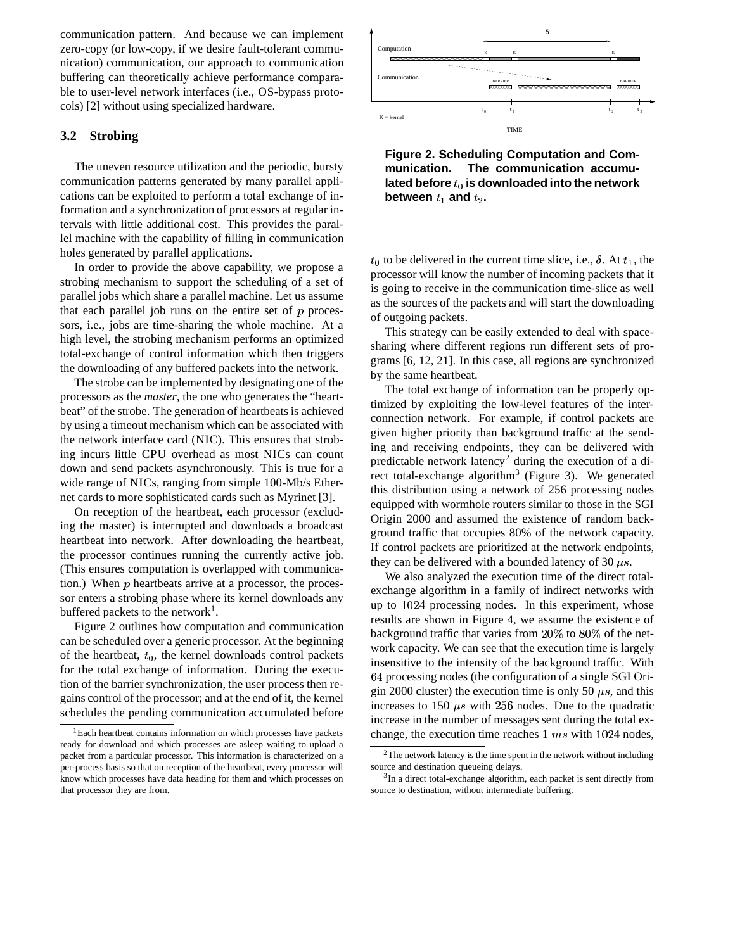communication pattern. And because we can implement zero-copy (or low-copy, if we desire fault-tolerant communication) communication, our approach to communication buffering can theoretically achieve performance comparable to user-level network interfaces (i.e., OS-bypass protocols) [2] without using specialized hardware.

### **3.2 Strobing**

The uneven resource utilization and the periodic, bursty communication patterns generated by many parallel applications can be exploited to perform a total exchange of information and a synchronization of processors at regular intervals with little additional cost. This provides the parallel machine with the capability of filling in communication holes generated by parallel applications.

In order to provide the above capability, we propose a strobing mechanism to support the scheduling of a set of parallel jobs which share a parallel machine. Let us assume that each parallel job runs on the entire set of  $p$  processors, i.e., jobs are time-sharing the whole machine. At a high level, the strobing mechanism performs an optimized total-exchange of control information which then triggers the downloading of any buffered packets into the network.

The strobe can be implemented by designating one of the processors as the *master*, the one who generates the "heartbeat" of the strobe. The generation of heartbeats is achieved by using a timeout mechanism which can be associated with the network interface card (NIC). This ensures that strobing incurs little CPU overhead as most NICs can count down and send packets asynchronously. This is true for a wide range of NICs, ranging from simple 100-Mb/s Ethernet cards to more sophisticated cards such as Myrinet [3].

On reception of the heartbeat, each processor (excluding the master) is interrupted and downloads a broadcast heartbeat into network. After downloading the heartbeat, the processor continues running the currently active job. (This ensures computation is overlapped with communication.) When  $p$  heartbeats arrive at a processor, the processor enters a strobing phase where its kernel downloads any buffered packets to the network<sup>1</sup>.

Figure 2 outlines how computation and communication can be scheduled over a generic processor. At the beginning of the heartbeat,  $t_0$ , the kernel downloads control packets for the total exchange of information. During the execution of the barrier synchronization, the user process then regains control of the processor; and at the end of it, the kernel schedules the pending communication accumulated before



**Figure 2. Scheduling Computation and Communication. The communication accumu**lated before  $t_0$  is downloaded into the network between  $t_1$  and  $t_2$ .

 $t_0$  to be delivered in the current time slice, i.e.,  $\delta$ . At  $t_1$ , the processor will know the number of incoming packets that it is going to receive in the communication time-slice as well as the sources of the packets and will start the downloading of outgoing packets.

This strategy can be easily extended to deal with spacesharing where different regions run different sets of programs [6, 12, 21]. In this case, all regions are synchronized by the same heartbeat.

The total exchange of information can be properly optimized by exploiting the low-level features of the interconnection network. For example, if control packets are given higher priority than background traffic at the sending and receiving endpoints, they can be delivered with predictable network latency <sup>2</sup> during the execution of a direct total-exchange algorithm<sup>3</sup> (Figure 3). We generated this distribution using a network of 256 processing nodes equipped with wormhole routers similar to those in the SGI Origin 2000 and assumed the existence of random background traffic that occupies 80% of the network capacity. If control packets are prioritized at the network endpoints, they can be delivered with a bounded latency of 30  $\mu s$ .

We also analyzed the execution time of the direct totalexchange algorithm in a family of indirect networks with up to 1024 processing nodes. In this experiment, whose results are shown in Figure 4, we assume the existence of background traffic that varies from  $20\%$  to  $80\%$  of the network capacity. We can see that the execution time is largely insensitive to the intensity of the background traffic. With processing nodes (the configuration of a single SGI Origin 2000 cluster) the execution time is only 50  $\mu s$ , and this increases to 150  $\mu$ s with 256 nodes. Due to the quadratic increase in the number of messages sent during the total exchange, the execution time reaches  $1 ms$  with  $1024$  nodes,

 ${}^{1}$ Each heartbeat contains information on which processes have packets ready for download and which processes are asleep waiting to upload a packet from a particular processor. This information is characterized on a per-process basis so that on reception of the heartbeat, every processor will know which processes have data heading for them and which processes on that processor they are from.

<sup>&</sup>lt;sup>2</sup>The network latency is the time spent in the network without including source and destination queueing delays.

<sup>&</sup>lt;sup>3</sup>In a direct total-exchange algorithm, each packet is sent directly from source to destination, without intermediate buffering.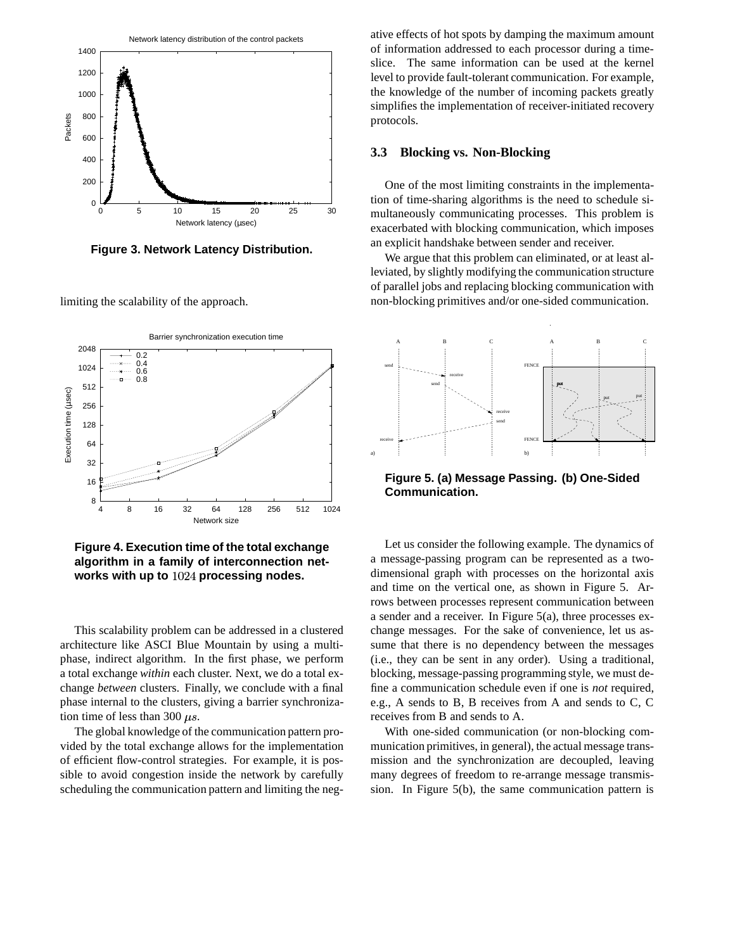

**Figure 3. Network Latency Distribution.**

limiting the scalability of the approach.



**Figure 4. Execution time of the total exchange algorithm in a family of interconnection net**works with up to  $1024$  processing nodes.

This scalability problem can be addressed in a clustered architecture like ASCI Blue Mountain by using a multiphase, indirect algorithm. In the first phase, we perform a total exchange *within* each cluster. Next, we do a total exchange *between* clusters. Finally, we conclude with a final phase internal to the clusters, giving a barrier synchronization time of less than 300  $\mu s$ .

The global knowledge of the communication pattern provided by the total exchange allows for the implementation of efficient flow-control strategies. For example, it is possible to avoid congestion inside the network by carefully scheduling the communication pattern and limiting the negative effects of hot spots by damping the maximum amount of information addressed to each processor during a timeslice. The same information can be used at the kernel level to provide fault-tolerant communication. For example, the knowledge of the number of incoming packets greatly simplifies the implementation of receiver-initiated recovery protocols.

#### **3.3 Blocking vs. Non-Blocking**

One of the most limiting constraints in the implementation of time-sharing algorithms is the need to schedule simultaneously communicating processes. This problem is exacerbated with blocking communication, which imposes an explicit handshake between sender and receiver.

We argue that this problem can eliminated, or at least alleviated, by slightly modifying the communication structure of parallel jobs and replacing blocking communication with non-blocking primitives and/or one-sided communication.



**Figure 5. (a) Message Passing. (b) One-Sided Communication.**

Let us consider the following example. The dynamics of a message-passing program can be represented as a twodimensional graph with processes on the horizontal axis and time on the vertical one, as shown in Figure 5. Arrows between processes represent communication between a sender and a receiver. In Figure 5(a), three processes exchange messages. For the sake of convenience, let us assume that there is no dependency between the messages (i.e., they can be sent in any order). Using a traditional, blocking, message-passing programming style, we must define a communication schedule even if one is *not* required, e.g., A sends to B, B receives from A and sends to C, C receives from B and sends to A.

With one-sided communication (or non-blocking communication primitives, in general), the actual message transmission and the synchronization are decoupled, leaving many degrees of freedom to re-arrange message transmission. In Figure 5(b), the same communication pattern is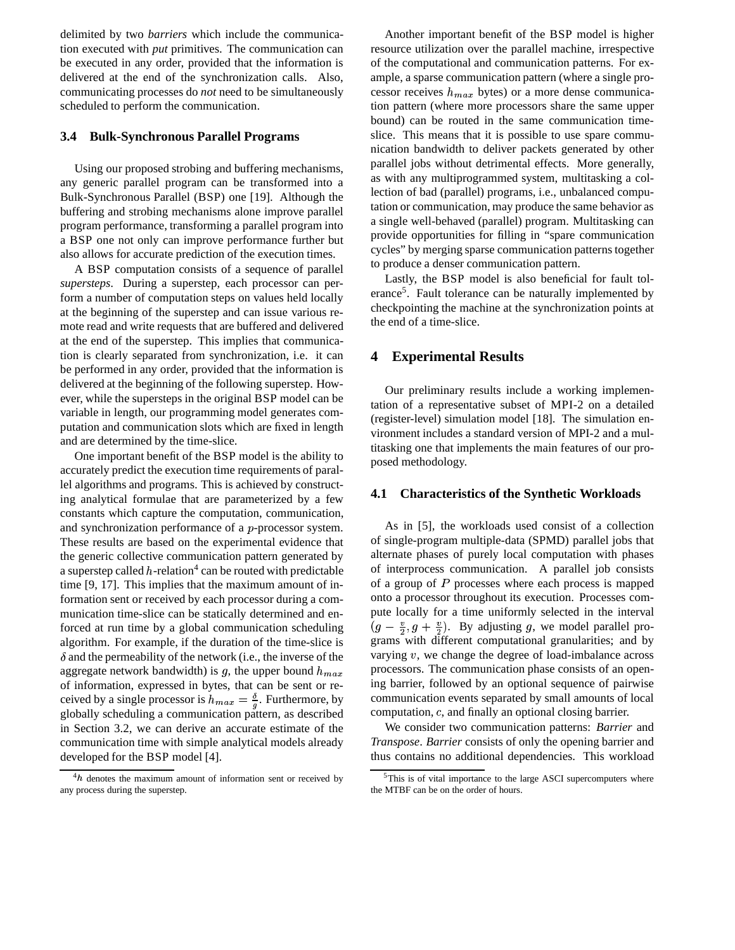delimited by two *barriers* which include the communication executed with *put* primitives. The communication can be executed in any order, provided that the information is delivered at the end of the synchronization calls. Also, communicating processes do *not* need to be simultaneously scheduled to perform the communication.

#### **3.4 Bulk-Synchronous Parallel Programs**

Using our proposed strobing and buffering mechanisms, any generic parallel program can be transformed into a Bulk-Synchronous Parallel (BSP) one [19]. Although the buffering and strobing mechanisms alone improve parallel program performance, transforming a parallel program into a BSP one not only can improve performance further but also allows for accurate prediction of the execution times.

A BSP computation consists of a sequence of parallel *supersteps*. During a superstep, each processor can perform a number of computation steps on values held locally at the beginning of the superstep and can issue various remote read and write requests that are buffered and delivered at the end of the superstep. This implies that communication is clearly separated from synchronization, i.e. it can be performed in any order, provided that the information is delivered at the beginning of the following superstep. However, while the supersteps in the original BSP model can be variable in length, our programming model generates computation and communication slots which are fixed in length and are determined by the time-slice.

One important benefit of the BSP model is the ability to accurately predict the execution time requirements of parallel algorithms and programs. This is achieved by constructing analytical formulae that are parameterized by a few constants which capture the computation, communication, and synchronization performance of a  $p$ -processor system. These results are based on the experimental evidence that the generic collective communication pattern generated by a superstep called h-relation<sup>4</sup> can be routed with predictable time [9, 17]. This implies that the maximum amount of information sent or received by each processor during a communication time-slice can be statically determined and enforced at run time by a global communication scheduling algorithm. For example, if the duration of the time-slice is  $\delta$  and the permeability of the network (i.e., the inverse of the aggregate network bandwidth) is g, the upper bound  $h_{max}$  pr of information, expressed in bytes, that can be sent or received by a single processor is  $h_{max} = \frac{\delta}{a}$ . Furthermore, by globally scheduling a communication pattern, as described in Section 3.2, we can derive an accurate estimate of the communication time with simple analytical models already developed for the BSP model [4].

Another important benefit of the BSP model is higher resource utilization over the parallel machine, irrespective of the computational and communication patterns. For example, a sparse communication pattern (where a single processor receives  $h_{max}$  bytes) or a more dense communication pattern (where more processors share the same upper bound) can be routed in the same communication timeslice. This means that it is possible to use spare communication bandwidth to deliver packets generated by other parallel jobs without detrimental effects. More generally, as with any multiprogrammed system, multitasking a collection of bad (parallel) programs, i.e., unbalanced computation or communication, may produce the same behavior as a single well-behaved (parallel) program. Multitasking can provide opportunities for filling in "spare communication cycles" by merging sparse communication patterns together to produce a denser communication pattern.

Lastly, the BSP model is also beneficial for fault tolerance<sup>5</sup>. Fault tolerance can be naturally implemented by checkpointing the machine at the synchronization points at the end of a time-slice.

# **4 Experimental Results**

Our preliminary results include a working implementation of a representative subset of MPI-2 on a detailed (register-level) simulation model [18]. The simulation environment includes a standard version of MPI-2 and a multitasking one that implements the main features of our proposed methodology.

#### **4.1 Characteristics of the Synthetic Workloads**

As in [5], the workloads used consist of a collection of single-program multiple-data (SPMD) parallel jobs that alternate phases of purely local computation with phases of interprocess communication. A parallel job consists of a group of  $P$  processes where each process is mapped onto a processor throughout its execution. Processes compute locally for a time uniformly selected in the interval  $(g - \frac{v}{2}, g + \frac{v}{2})$ . By adjusting g, we model parallel programs with different computational granularities; and by varying  $v$ , we change the degree of load-imbalance across processors. The communication phase consists of an opening barrier, followed by an optional sequence of pairwise communication events separated by small amounts of local computation,  $c$ , and finally an optional closing barrier.

We consider two communication patterns: *Barrier* and *Transpose*. *Barrier* consists of only the opening barrier and thus contains no additional dependencies. This workload

 $4h$  denotes the maximum amount of information sent or received by any process during the superstep.

<sup>&</sup>lt;sup>5</sup>This is of vital importance to the large ASCI supercomputers where the MTBF can be on the order of hours.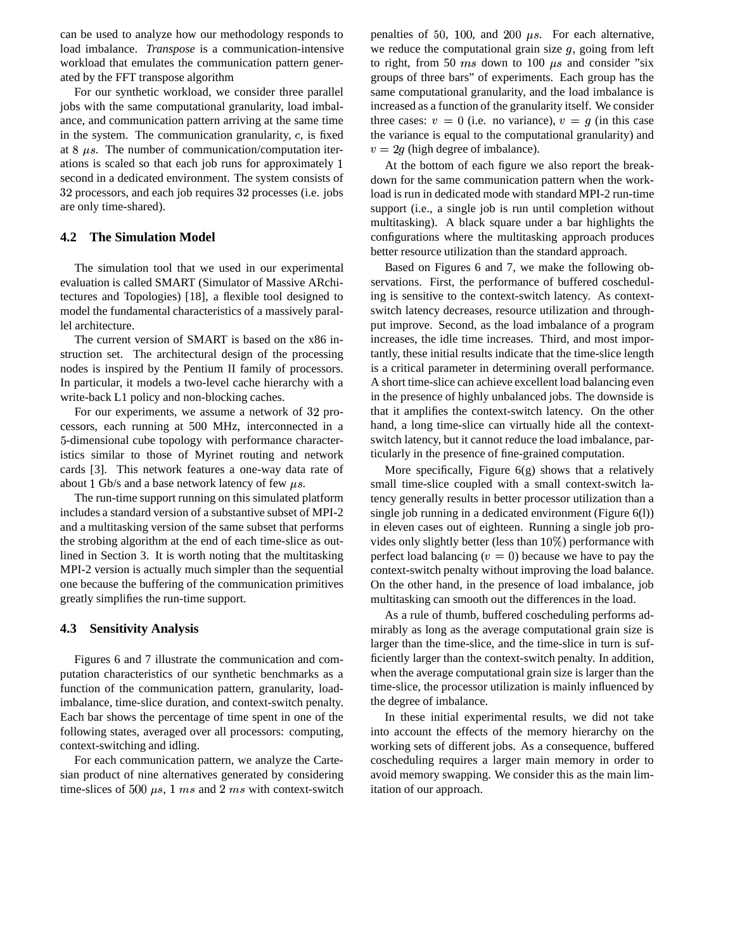can be used to analyze how our methodology responds to load imbalance. *Transpose* is a communication-intensive workload that emulates the communication pattern generated by the FFT transpose algorithm

For our synthetic workload, we consider three parallel jobs with the same computational granularity, load imbalance, and communication pattern arriving at the same time in the system. The communication granularity,  $c$ , is fixed at  $8 \mu s$ . The number of communication/computation iterations is scaled so that each job runs for approximately second in a dedicated environment. The system consists of 32 processors, and each job requires 32 processes (i.e. jobs are only time-shared).

### **4.2 The Simulation Model**

The simulation tool that we used in our experimental evaluation is called SMART (Simulator of Massive ARchitectures and Topologies) [18], a flexible tool designed to model the fundamental characteristics of a massively parallel architecture.

The current version of SMART is based on the x86 instruction set. The architectural design of the processing nodes is inspired by the Pentium II family of processors. In particular, it models a two-level cache hierarchy with a write-back L1 policy and non-blocking caches.

For our experiments, we assume a network of 32 processors, each running at 500 MHz, interconnected in a -dimensional cube topology with performance characteristics similar to those of Myrinet routing and network cards [3]. This network features a one-way data rate of about 1 Gb/s and a base network latency of few  $\mu s$ .

The run-time support running on this simulated platform includes a standard version of a substantive subset of MPI-2 and a multitasking version of the same subset that performs the strobing algorithm at the end of each time-slice as outlined in Section 3. It is worth noting that the multitasking MPI-2 version is actually much simpler than the sequential one because the buffering of the communication primitives greatly simplifies the run-time support.

#### **4.3 Sensitivity Analysis**

Figures 6 and 7 illustrate the communication and computation characteristics of our synthetic benchmarks as a function of the communication pattern, granularity, loadimbalance, time-slice duration, and context-switch penalty. Each bar shows the percentage of time spent in one of the following states, averaged over all processors: computing, context-switching and idling.

For each communication pattern, we analyze the Cartesian product of nine alternatives generated by considering time-slices of  $500 \mu s$ , 1 ms and 2 ms with context-switch penalties of 50, 100, and 200  $\mu s$ . For each alternative, we reduce the computational grain size  $q$ , going from left to right, from 50  $\textit{ms}$  down to 100  $\mu s$  and consider "six groups of three bars" of experiments. Each group has the same computational granularity, and the load imbalance is increased as a function of the granularity itself. We consider three cases:  $v = 0$  (i.e. no variance),  $v = g$  (in this case the variance is equal to the computational granularity) and  $v = 2g$  (high degree of imbalance).

At the bottom of each figure we also report the breakdown for the same communication pattern when the workload is run in dedicated mode with standard MPI-2 run-time support (i.e., a single job is run until completion without multitasking). A black square under a bar highlights the configurations where the multitasking approach produces better resource utilization than the standard approach.

Based on Figures 6 and 7, we make the following observations. First, the performance of buffered coscheduling is sensitive to the context-switch latency. As contextswitch latency decreases, resource utilization and throughput improve. Second, as the load imbalance of a program increases, the idle time increases. Third, and most importantly, these initial results indicate that the time-slice length is a critical parameter in determining overall performance. A short time-slice can achieve excellent load balancing even in the presence of highly unbalanced jobs. The downside is that it amplifies the context-switch latency. On the other hand, a long time-slice can virtually hide all the contextswitch latency, but it cannot reduce the load imbalance, particularly in the presence of fine-grained computation.

More specifically, Figure  $6(g)$  shows that a relatively small time-slice coupled with a small context-switch latency generally results in better processor utilization than a single job running in a dedicated environment (Figure 6(1)) in eleven cases out of eighteen. Running a single job provides only slightly better (less than  $10\%$ ) performance with perfect load balancing  $(v = 0)$  because we have to pay the context-switch penalty without improving the load balance. On the other hand, in the presence of load imbalance, job multitasking can smooth out the differences in the load.

As a rule of thumb, buffered coscheduling performs admirably as long as the average computational grain size is larger than the time-slice, and the time-slice in turn is sufficiently larger than the context-switch penalty. In addition, when the average computational grain size is larger than the time-slice, the processor utilization is mainly influenced by the degree of imbalance.

In these initial experimental results, we did not take into account the effects of the memory hierarchy on the working sets of different jobs. As a consequence, buffered coscheduling requires a larger main memory in order to avoid memory swapping. We consider this as the main limitation of our approach.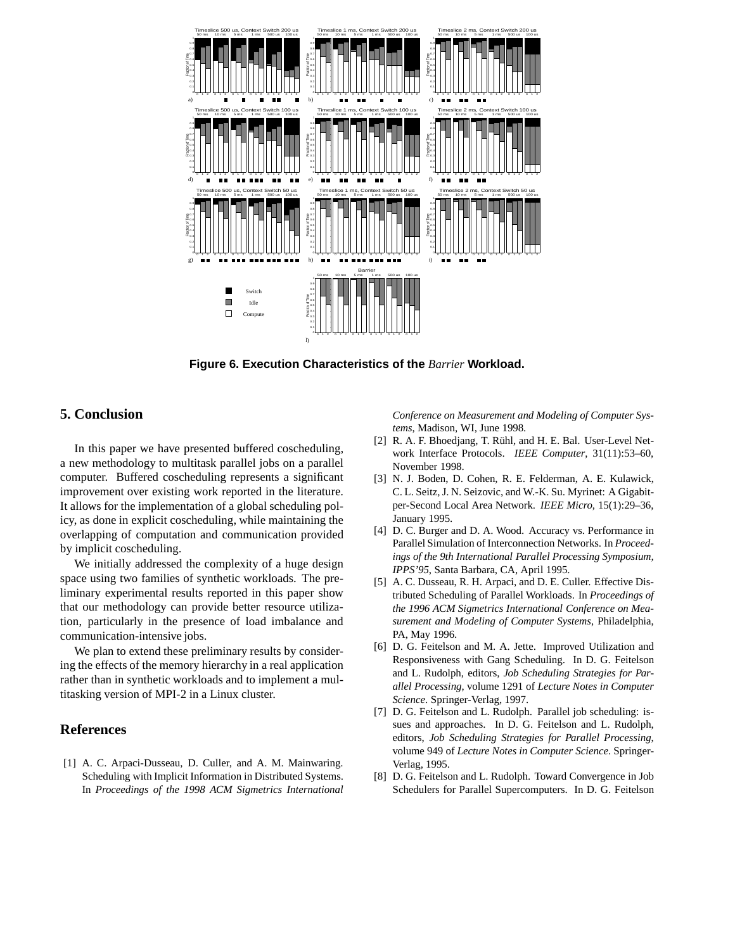

**Figure 6. Execution Characteristics of the** *Barrier* **Workload.**

# **5. Conclusion**

In this paper we have presented buffered coscheduling, a new methodology to multitask parallel jobs on a parallel computer. Buffered coscheduling represents a significant improvement over existing work reported in the literature. It allows for the implementation of a global scheduling policy, as done in explicit coscheduling, while maintaining the overlapping of computation and communication provided by implicit coscheduling.

We initially addressed the complexity of a huge design space using two families of synthetic workloads. The preliminary experimental results reported in this paper show that our methodology can provide better resource utilization, particularly in the presence of load imbalance and communication-intensive jobs.

We plan to extend these preliminary results by considering the effects of the memory hierarchy in a real application rather than in synthetic workloads and to implement a multitasking version of MPI-2 in a Linux cluster.

# **References**

[1] A. C. Arpaci-Dusseau, D. Culler, and A. M. Mainwaring. Scheduling with Implicit Information in Distributed Systems. In *Proceedings of the 1998 ACM Sigmetrics International* *Conference on Measurement and Modeling of Computer Systems*, Madison, WI, June 1998.

- [2] R. A. F. Bhoedjang, T. Rühl, and H. E. Bal. User-Level Network Interface Protocols. *IEEE Computer*, 31(11):53–60, November 1998.
- [3] N. J. Boden, D. Cohen, R. E. Felderman, A. E. Kulawick, C. L. Seitz,J. N. Seizovic, and W.-K. Su. Myrinet: A Gigabitper-Second Local Area Network. *IEEE Micro*, 15(1):29–36, January 1995.
- [4] D. C. Burger and D. A. Wood. Accuracy vs. Performance in Parallel Simulation of Interconnection Networks. In *Proceedings of the 9th International Parallel Processing Symposium, IPPS'95*, Santa Barbara, CA, April 1995.
- [5] A. C. Dusseau, R. H. Arpaci, and D. E. Culler. Effective Distributed Scheduling of Parallel Workloads. In *Proceedings of the 1996 ACM Sigmetrics International Conference on Measurement and Modeling of Computer Systems*, Philadelphia, PA, May 1996.
- [6] D. G. Feitelson and M. A. Jette. Improved Utilization and Responsiveness with Gang Scheduling. In D. G. Feitelson and L. Rudolph, editors, *Job Scheduling Strategies for Parallel Processing*, volume 1291 of *Lecture Notes in Computer Science*. Springer-Verlag, 1997.
- [7] D. G. Feitelson and L. Rudolph. Parallel job scheduling: issues and approaches. In D. G. Feitelson and L. Rudolph, editors, *Job Scheduling Strategies for Parallel Processing*, volume 949 of *Lecture Notes in Computer Science*. Springer-Verlag, 1995.
- [8] D. G. Feitelson and L. Rudolph. Toward Convergence in Job Schedulers for Parallel Supercomputers. In D. G. Feitelson